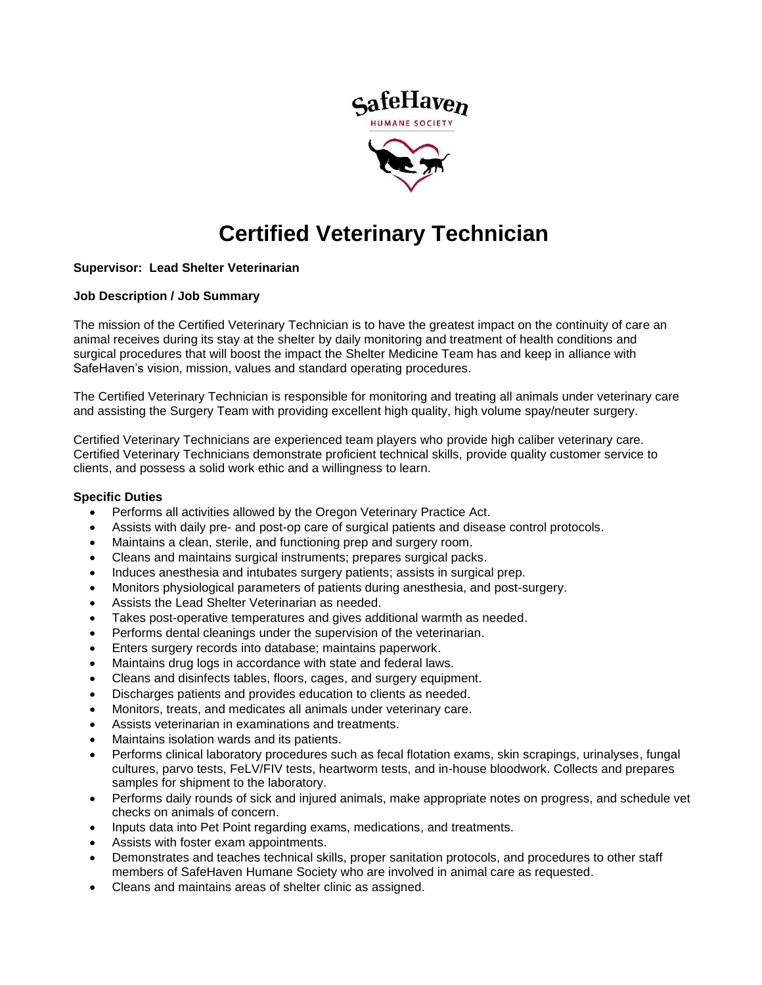

# **Certified Veterinary Technician**

## **Supervisor: Lead Shelter Veterinarian**

## **Job Description / Job Summary**

The mission of the Certified Veterinary Technician is to have the greatest impact on the continuity of care an animal receives during its stay at the shelter by daily monitoring and treatment of health conditions and surgical procedures that will boost the impact the Shelter Medicine Team has and keep in alliance with SafeHaven's vision, mission, values and standard operating procedures.

The Certified Veterinary Technician is responsible for monitoring and treating all animals under veterinary care and assisting the Surgery Team with providing excellent high quality, high volume spay/neuter surgery.

Certified Veterinary Technicians are experienced team players who provide high caliber veterinary care. Certified Veterinary Technicians demonstrate proficient technical skills, provide quality customer service to clients, and possess a solid work ethic and a willingness to learn.

#### **Specific Duties**

- Performs all activities allowed by the Oregon Veterinary Practice Act.
- Assists with daily pre- and post-op care of surgical patients and disease control protocols.
- Maintains a clean, sterile, and functioning prep and surgery room.
- Cleans and maintains surgical instruments; prepares surgical packs.
- Induces anesthesia and intubates surgery patients; assists in surgical prep.
- Monitors physiological parameters of patients during anesthesia, and post-surgery.
- Assists the Lead Shelter Veterinarian as needed.
- Takes post-operative temperatures and gives additional warmth as needed.
- Performs dental cleanings under the supervision of the veterinarian.
- Enters surgery records into database; maintains paperwork.
- Maintains drug logs in accordance with state and federal laws.
- Cleans and disinfects tables, floors, cages, and surgery equipment.
- Discharges patients and provides education to clients as needed.
- Monitors, treats, and medicates all animals under veterinary care.
- Assists veterinarian in examinations and treatments.
- Maintains isolation wards and its patients.
- Performs clinical laboratory procedures such as fecal flotation exams, skin scrapings, urinalyses, fungal cultures, parvo tests, FeLV/FIV tests, heartworm tests, and in-house bloodwork. Collects and prepares samples for shipment to the laboratory.
- Performs daily rounds of sick and injured animals, make appropriate notes on progress, and schedule vet checks on animals of concern.
- Inputs data into Pet Point regarding exams, medications, and treatments.
- Assists with foster exam appointments.
- Demonstrates and teaches technical skills, proper sanitation protocols, and procedures to other staff members of SafeHaven Humane Society who are involved in animal care as requested.
- Cleans and maintains areas of shelter clinic as assigned.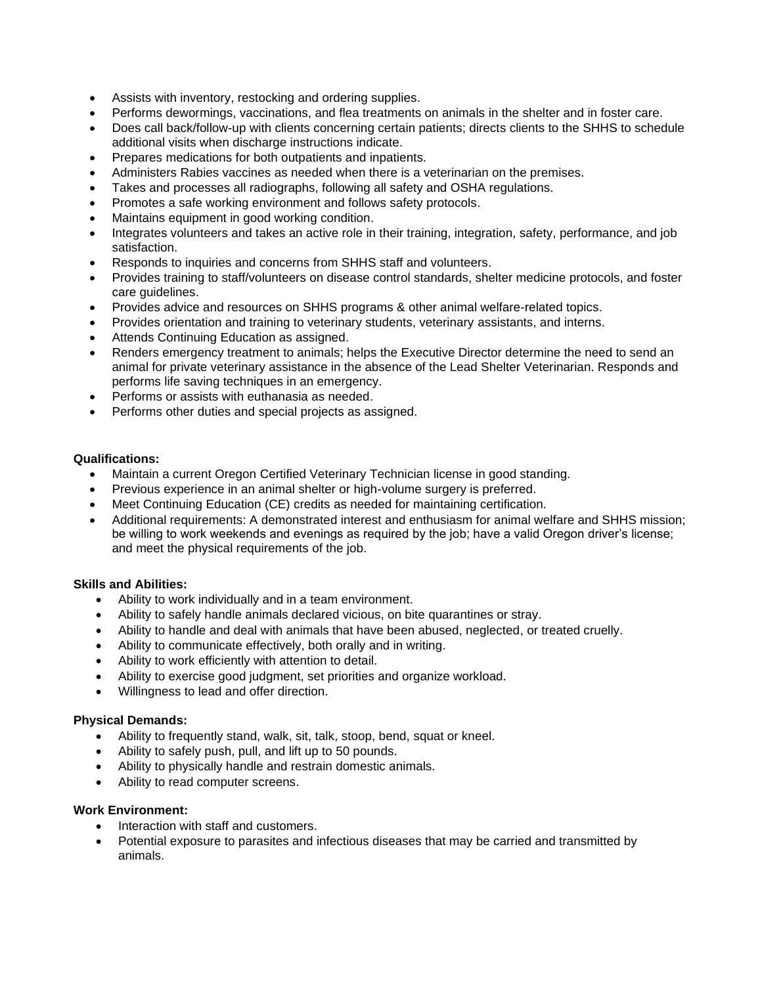- Assists with inventory, restocking and ordering supplies.
- Performs dewormings, vaccinations, and flea treatments on animals in the shelter and in foster care.
- Does call back/follow-up with clients concerning certain patients; directs clients to the SHHS to schedule additional visits when discharge instructions indicate.
- Prepares medications for both outpatients and inpatients.
- Administers Rabies vaccines as needed when there is a veterinarian on the premises.
- Takes and processes all radiographs, following all safety and OSHA regulations.
- Promotes a safe working environment and follows safety protocols.
- Maintains equipment in good working condition.
- Integrates volunteers and takes an active role in their training, integration, safety, performance, and job satisfaction.
- Responds to inquiries and concerns from SHHS staff and volunteers.
- Provides training to staff/volunteers on disease control standards, shelter medicine protocols, and foster care guidelines.
- Provides advice and resources on SHHS programs & other animal welfare-related topics.
- Provides orientation and training to veterinary students, veterinary assistants, and interns.
- Attends Continuing Education as assigned.
- Renders emergency treatment to animals; helps the Executive Director determine the need to send an animal for private veterinary assistance in the absence of the Lead Shelter Veterinarian. Responds and performs life saving techniques in an emergency.
- Performs or assists with euthanasia as needed.
- Performs other duties and special projects as assigned.

## **Qualifications:**

- Maintain a current Oregon Certified Veterinary Technician license in good standing.
- Previous experience in an animal shelter or high-volume surgery is preferred.
- Meet Continuing Education (CE) credits as needed for maintaining certification.
- Additional requirements: A demonstrated interest and enthusiasm for animal welfare and SHHS mission; be willing to work weekends and evenings as required by the job; have a valid Oregon driver's license; and meet the physical requirements of the job.

## **Skills and Abilities:**

- Ability to work individually and in a team environment.
- Ability to safely handle animals declared vicious, on bite quarantines or stray.
- Ability to handle and deal with animals that have been abused, neglected, or treated cruelly.
- Ability to communicate effectively, both orally and in writing.
- Ability to work efficiently with attention to detail.
- Ability to exercise good judgment, set priorities and organize workload.
- Willingness to lead and offer direction.

## **Physical Demands:**

- Ability to frequently stand, walk, sit, talk, stoop, bend, squat or kneel.
- Ability to safely push, pull, and lift up to 50 pounds.
- Ability to physically handle and restrain domestic animals.
- Ability to read computer screens.

## **Work Environment:**

- Interaction with staff and customers.
- Potential exposure to parasites and infectious diseases that may be carried and transmitted by animals.